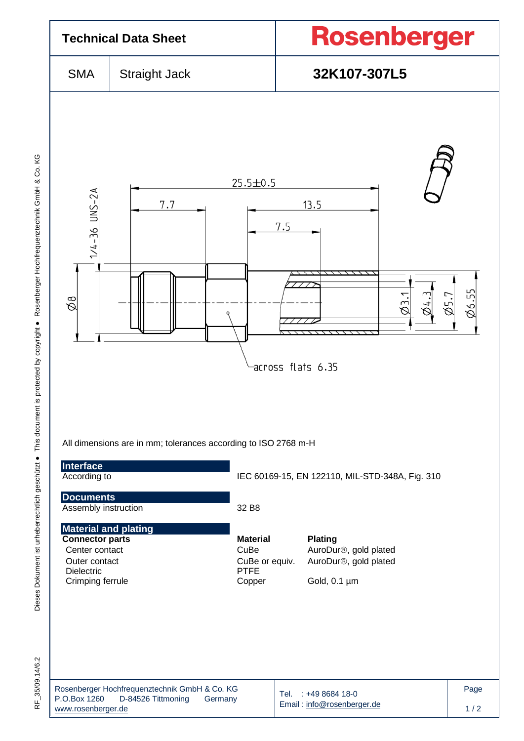

| Rosenberger Hochfrequenztechnik GmbH & Co. KG |                    |         |  |  |  |  |  |
|-----------------------------------------------|--------------------|---------|--|--|--|--|--|
| P.O.Box 1260                                  | D-84526 Tittmoning | Germany |  |  |  |  |  |
| www.rosenberger.de                            |                    |         |  |  |  |  |  |

Email [: info@rosenberger.de](mailto:info@rosenberger.de)

 $1/2$